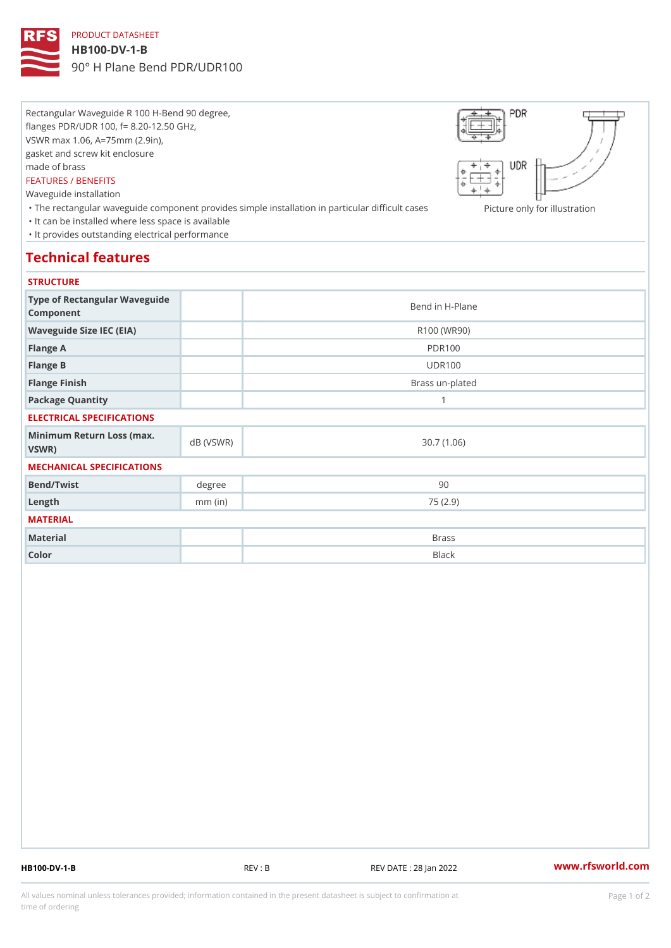### PRODUCT DATASHEET

#### HB100-DV-1-B

90° H Plane Bend PDR/UDR100

Rectangular Waveguide R 100 H-Bend 90 degree, flanges PDR/UDR 100, f= 8.20-12.50 GHz, VSWR max 1.06, A=75mm (2.9in), gasket and screw kit enclosure made of brass FEATURES / BENEFITS Waveguide installation "The rectangular waveguide component provides simple installation in pactionelannbyiffocuilhursents as ion "It can be installed where less space is available "It provides outstanding electrical performance

## Technical features

#### **STRUCTURE**

| Type of Rectangular Waveguide<br>Component     |           | Bend in H-Plane |
|------------------------------------------------|-----------|-----------------|
| Waveguide Size IEC (EIA)                       |           | R100 (WR90)     |
| Flange A                                       |           | <b>PDR100</b>   |
| Flange B                                       |           | <b>UDR100</b>   |
| Flange Finish                                  |           | Brass un-plated |
| Package Quantity                               |           | 1               |
| ELECTRICAL SPECIFICATIONS                      |           |                 |
| Minimum Return Loss (nax (VSWR)<br>$V$ S W R ) |           | 30.7(1.06)      |
| MECHANICAL SPECIFICATIONS                      |           |                 |
| Bend/Twist                                     | degree    | 90              |
| $L$ ength                                      | $mm$ (in) | 75(2.9)         |
| MATERIAL                                       |           |                 |
| Material                                       |           | <b>Brass</b>    |
| Color                                          |           | Black           |

HB100-DV-1-B REV : B REV DATE : 28 Jan 2022 [www.](https://www.rfsworld.com)rfsworld.com